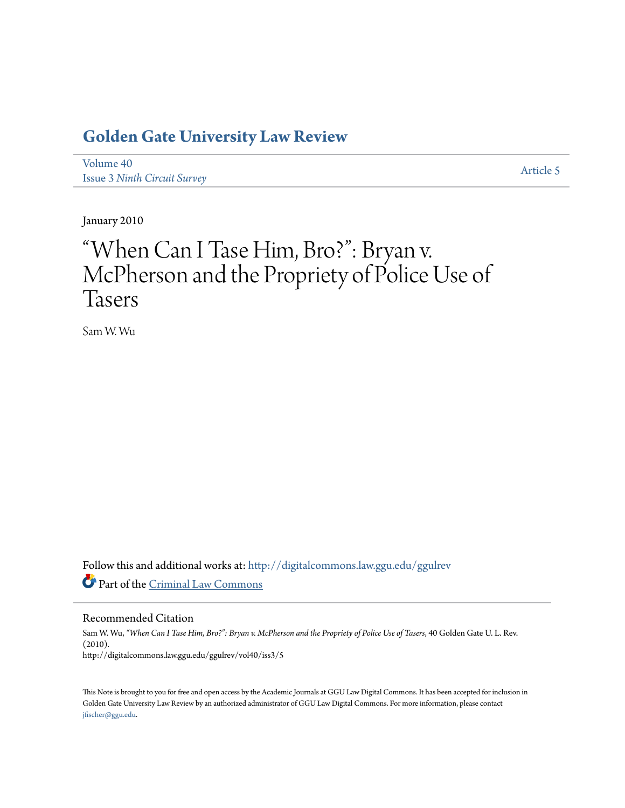# **[Golden Gate University Law Review](http://digitalcommons.law.ggu.edu/ggulrev?utm_source=digitalcommons.law.ggu.edu%2Fggulrev%2Fvol40%2Fiss3%2F5&utm_medium=PDF&utm_campaign=PDFCoverPages)**

[Volume 40](http://digitalcommons.law.ggu.edu/ggulrev/vol40?utm_source=digitalcommons.law.ggu.edu%2Fggulrev%2Fvol40%2Fiss3%2F5&utm_medium=PDF&utm_campaign=PDFCoverPages) Issue 3 *[Ninth Circuit Survey](http://digitalcommons.law.ggu.edu/ggulrev/vol40/iss3?utm_source=digitalcommons.law.ggu.edu%2Fggulrev%2Fvol40%2Fiss3%2F5&utm_medium=PDF&utm_campaign=PDFCoverPages)*

[Article 5](http://digitalcommons.law.ggu.edu/ggulrev/vol40/iss3/5?utm_source=digitalcommons.law.ggu.edu%2Fggulrev%2Fvol40%2Fiss3%2F5&utm_medium=PDF&utm_campaign=PDFCoverPages)

January 2010

# "When Can I Tase Him, Bro?": Bryan v. McPherson and the Propriety of Police Use of Tasers

Sam W. Wu

Follow this and additional works at: [http://digitalcommons.law.ggu.edu/ggulrev](http://digitalcommons.law.ggu.edu/ggulrev?utm_source=digitalcommons.law.ggu.edu%2Fggulrev%2Fvol40%2Fiss3%2F5&utm_medium=PDF&utm_campaign=PDFCoverPages) Part of the [Criminal Law Commons](http://network.bepress.com/hgg/discipline/912?utm_source=digitalcommons.law.ggu.edu%2Fggulrev%2Fvol40%2Fiss3%2F5&utm_medium=PDF&utm_campaign=PDFCoverPages)

Recommended Citation

Sam W. Wu, *"When Can I Tase Him, Bro?": Bryan v. McPherson and the Propriety of Police Use of Tasers*, 40 Golden Gate U. L. Rev. (2010). http://digitalcommons.law.ggu.edu/ggulrev/vol40/iss3/5

This Note is brought to you for free and open access by the Academic Journals at GGU Law Digital Commons. It has been accepted for inclusion in Golden Gate University Law Review by an authorized administrator of GGU Law Digital Commons. For more information, please contact [jfischer@ggu.edu](mailto:jfischer@ggu.edu).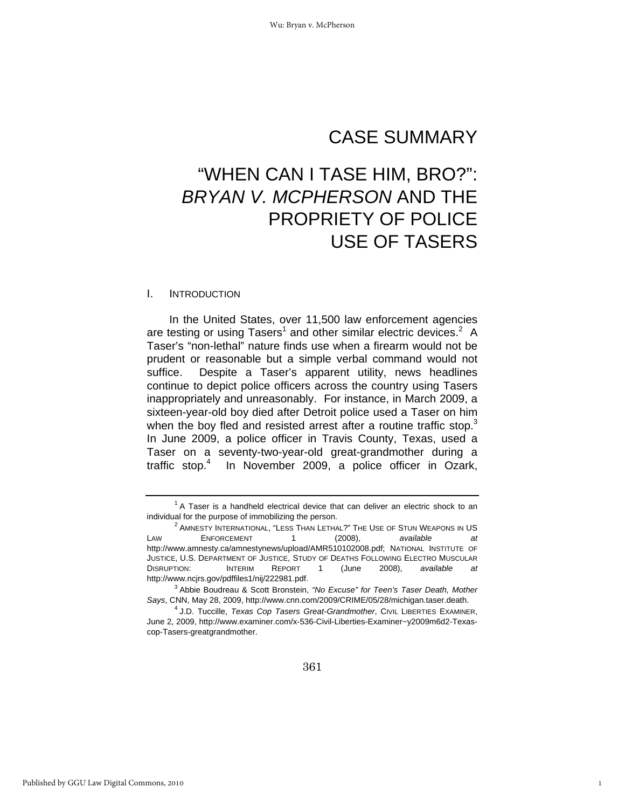# CASE SUMMARY

# "WHEN CAN I TASE HIM, BRO?": *BRYAN V. MCPHERSON* AND THE PROPRIETY OF POLICE USE OF TASERS

#### I. INTRODUCTION

In the United States, over 11,500 law enforcement agencies are testing or using Tasers<sup>1</sup> and other similar electric devices.<sup>2</sup> A Taser's "non-lethal" nature finds use when a firearm would not be prudent or reasonable but a simple verbal command would not suffice. Despite a Taser's apparent utility, news headlines continue to depict police officers across the country using Tasers inappropriately and unreasonably. For instance, in March 2009, a sixteen-year-old boy died after Detroit police used a Taser on him when the boy fled and resisted arrest after a routine traffic stop. $3$ In June 2009, a police officer in Travis County, Texas, used a Taser on a seventy-two-year-old great-grandmother during a traffic stop.4 In November 2009, a police officer in Ozark,

1

 $1$  A Taser is a handheld electrical device that can deliver an electric shock to an individual for the purpose of immobilizing the person. 2

<sup>&</sup>lt;sup>2</sup> AMNESTY INTERNATIONAL, "LESS THAN LETHAL?" THE USE OF STUN WEAPONS IN US LAW ENFORCEMENT 1 (2008), *available at*  http://www.amnesty.ca/amnestynews/upload/AMR510102008.pdf; NATIONAL INSTITUTE OF JUSTICE, U.S. DEPARTMENT OF JUSTICE, STUDY OF DEATHS FOLLOWING ELECTRO MUSCULAR DISRUPTION: INTERIM REPORT 1 (June 2008), *available at*  http://www.ncjrs.gov/pdffiles1/nij/222981.pdf.

Abbie Boudreau & Scott Bronstein, *"No Excuse" for Teen's Taser Death, Mother Says*, CNN, May 28, 2009, http://www.cnn.com/2009/CRIME/05/28/michigan.taser.death. 4

J.D. Tuccille, *Texas Cop Tasers Great-Grandmother*, CIVIL LIBERTIES EXAMINER, June 2, 2009, http://www.examiner.com/x-536-Civil-Liberties-Examiner~y2009m6d2-Texascop-Tasers-greatgrandmother.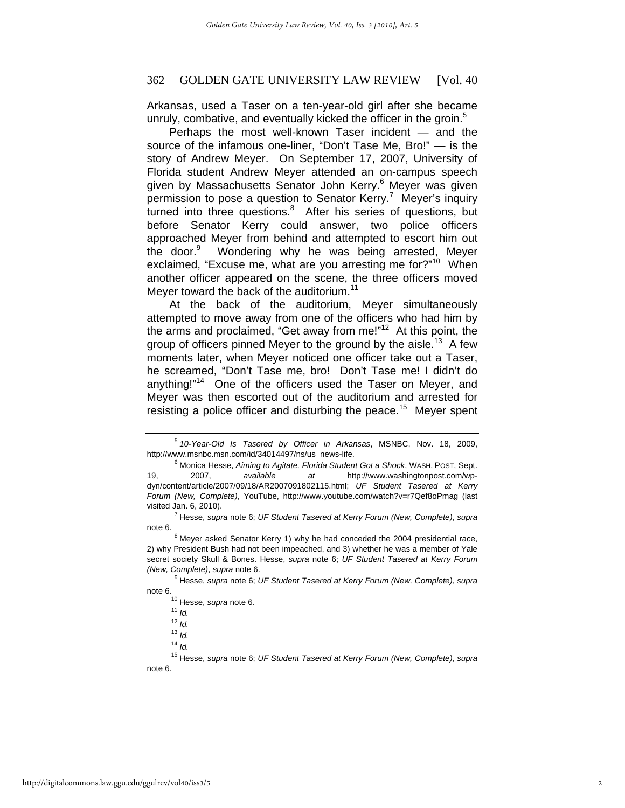Arkansas, used a Taser on a ten-year-old girl after she became unruly, combative, and eventually kicked the officer in the groin. $5$ 

Perhaps the most well-known Taser incident — and the source of the infamous one-liner, "Don't Tase Me, Bro!" — is the story of Andrew Meyer. On September 17, 2007, University of Florida student Andrew Meyer attended an on-campus speech given by Massachusetts Senator John Kerry.<sup>6</sup> Meyer was given permission to pose a question to Senator Kerry.<sup>7</sup> Meyer's inquiry turned into three questions.<sup>8</sup> After his series of questions, but before Senator Kerry could answer, two police officers approached Meyer from behind and attempted to escort him out the door.<sup>9</sup> Wondering why he was being arrested, Meyer exclaimed, "Excuse me, what are you arresting me for?"<sup>10</sup> When another officer appeared on the scene, the three officers moved Meyer toward the back of the auditorium.<sup>11</sup>

At the back of the auditorium, Meyer simultaneously attempted to move away from one of the officers who had him by the arms and proclaimed, "Get away from me!" $12$  At this point, the group of officers pinned Meyer to the ground by the aisle.<sup>13</sup> A few moments later, when Meyer noticed one officer take out a Taser, he screamed, "Don't Tase me, bro! Don't Tase me! I didn't do anything!"<sup>14</sup> One of the officers used the Taser on Meyer, and Meyer was then escorted out of the auditorium and arrested for resisting a police officer and disturbing the peace.<sup>15</sup> Meyer spent

15 Hesse, *supra* note 6; *UF Student Tasered at Kerry Forum (New, Complete)*, *supra* note 6.

<sup>5</sup>  *10-Year-Old Is Tasered by Officer in Arkansas*, MSNBC, Nov. 18, 2009, http://www.msnbc.msn.com/id/34014497/ns/us\_news-life.

Monica Hesse, *Aiming to Agitate, Florida Student Got a Shock*, WASH. POST, Sept. 19, 2007, *available at* http://www.washingtonpost.com/wpdyn/content/article/2007/09/18/AR2007091802115.html; *UF Student Tasered at Kerry Forum (New, Complete)*, YouTube, http://www.youtube.com/watch?v=r7Qef8oPmag (last visited Jan. 6, 2010). 7

Hesse, *supra* note 6; *UF Student Tasered at Kerry Forum (New, Complete)*, *supra* note 6.

 $8$  Meyer asked Senator Kerry 1) why he had conceded the 2004 presidential race, 2) why President Bush had not been impeached, and 3) whether he was a member of Yale secret society Skull & Bones. Hesse, *supra* note 6; *UF Student Tasered at Kerry Forum (New, Complete), supra note 6.* 

Hesse, *supra* note 6; *UF Student Tasered at Kerry Forum (New, Complete)*, *supra* note 6. 10 Hesse, *supra* note 6. 11 *Id.*

<sup>12</sup> *Id.*

<sup>13</sup> *Id.*

<sup>14</sup> *Id.*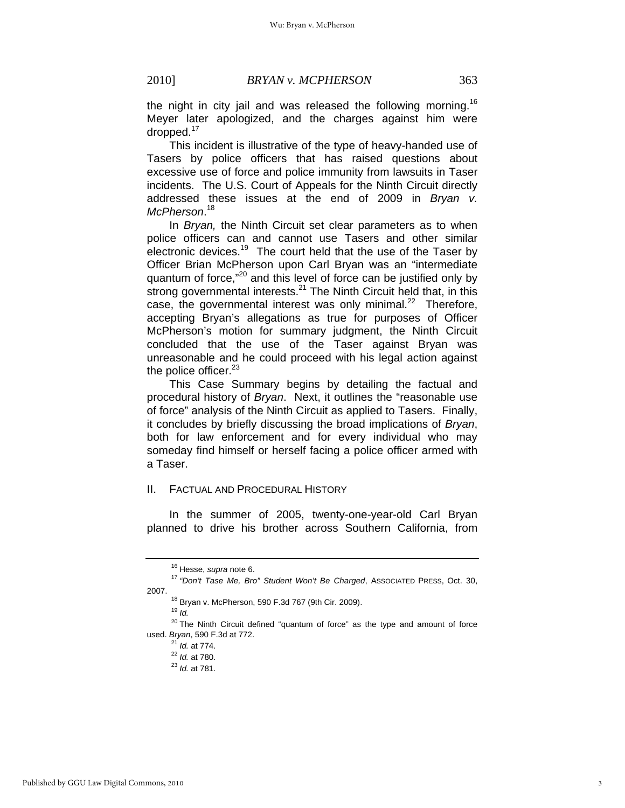the night in city jail and was released the following morning.<sup>16</sup> Meyer later apologized, and the charges against him were dropped.<sup>17</sup>

This incident is illustrative of the type of heavy-handed use of Tasers by police officers that has raised questions about excessive use of force and police immunity from lawsuits in Taser incidents. The U.S. Court of Appeals for the Ninth Circuit directly addressed these issues at the end of 2009 in *Bryan v. McPherson*. 18

In *Bryan,* the Ninth Circuit set clear parameters as to when police officers can and cannot use Tasers and other similar electronic devices.<sup>19</sup> The court held that the use of the Taser by Officer Brian McPherson upon Carl Bryan was an "intermediate quantum of force,"20 and this level of force can be justified only by strong governmental interests.<sup>21</sup> The Ninth Circuit held that, in this case, the governmental interest was only minimal.<sup>22</sup> Therefore, accepting Bryan's allegations as true for purposes of Officer McPherson's motion for summary judgment, the Ninth Circuit concluded that the use of the Taser against Bryan was unreasonable and he could proceed with his legal action against the police officer.<sup>23</sup>

This Case Summary begins by detailing the factual and procedural history of *Bryan*. Next, it outlines the "reasonable use of force" analysis of the Ninth Circuit as applied to Tasers. Finally, it concludes by briefly discussing the broad implications of *Bryan*, both for law enforcement and for every individual who may someday find himself or herself facing a police officer armed with a Taser.

# II. FACTUAL AND PROCEDURAL HISTORY

In the summer of 2005, twenty-one-year-old Carl Bryan planned to drive his brother across Southern California, from

<sup>&</sup>lt;sup>16</sup> Hesse, *supra* note 6.<br><sup>17</sup> "Don't Tase Me, Bro" Student Won't Be Charged, Associated Press, Oct. 30, 2007. 18 Bryan v. McPherson, 590 F.3d 767 (9th Cir. 2009).

<sup>19</sup> *Id.*

 $20$  The Ninth Circuit defined "quantum of force" as the type and amount of force used. *Bryan*, 590 F.3d at 772.<br>
<sup>21</sup> *Id.* at 774.<br>
<sup>22</sup> *Id.* at 780.<br>
<sup>23</sup> *Id.* at 781.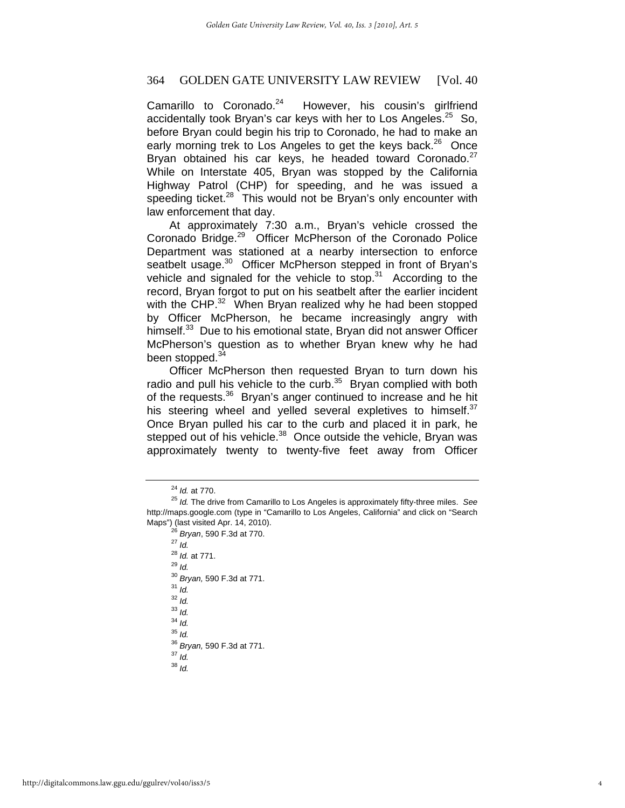Camarillo to Coronado. $24$  However, his cousin's girlfriend accidentally took Bryan's car keys with her to Los Angeles. $25$  So, before Bryan could begin his trip to Coronado, he had to make an early morning trek to Los Angeles to get the keys back.<sup>26</sup> Once Bryan obtained his car keys, he headed toward Coronado. $27$ While on Interstate 405, Bryan was stopped by the California Highway Patrol (CHP) for speeding, and he was issued a speeding ticket. $28$  This would not be Bryan's only encounter with law enforcement that day.

At approximately 7:30 a.m., Bryan's vehicle crossed the Coronado Bridge.29 Officer McPherson of the Coronado Police Department was stationed at a nearby intersection to enforce seatbelt usage.<sup>30</sup> Officer McPherson stepped in front of Bryan's vehicle and signaled for the vehicle to stop. $31$  According to the record, Bryan forgot to put on his seatbelt after the earlier incident with the CHP.<sup>32</sup> When Bryan realized why he had been stopped by Officer McPherson, he became increasingly angry with himself.<sup>33</sup> Due to his emotional state, Bryan did not answer Officer McPherson's question as to whether Bryan knew why he had been stopped.<sup>34</sup>

Officer McPherson then requested Bryan to turn down his radio and pull his vehicle to the curb. $35$  Bryan complied with both of the requests.<sup>36</sup> Bryan's anger continued to increase and he hit his steering wheel and yelled several expletives to himself. $37$ Once Bryan pulled his car to the curb and placed it in park, he stepped out of his vehicle.<sup>38</sup> Once outside the vehicle, Bryan was approximately twenty to twenty-five feet away from Officer

<sup>28</sup> *Id.* at 771. 29 *Id.* <sup>30</sup> *Bryan,* 590 F.3d at 771. 31 *Id.* <sup>32</sup> *Id.* <sup>33</sup> *Id.* <sup>34</sup> *Id.* <sup>35</sup> *Id.* <sup>36</sup> *Bryan,* 590 F.3d at 771. 37 *Id.* <sup>38</sup> *Id.*

<sup>&</sup>lt;sup>24</sup> *Id.* at 770.<br><sup>25</sup> *Id.* The drive from Camarillo to Los Angeles is approximately fifty-three miles. See http://maps.google.com (type in "Camarillo to Los Angeles, California" and click on "Search Maps") (last visited Apr. 14, 2010). 26 *Bryan*, 590 F.3d at 770. 27 *Id.*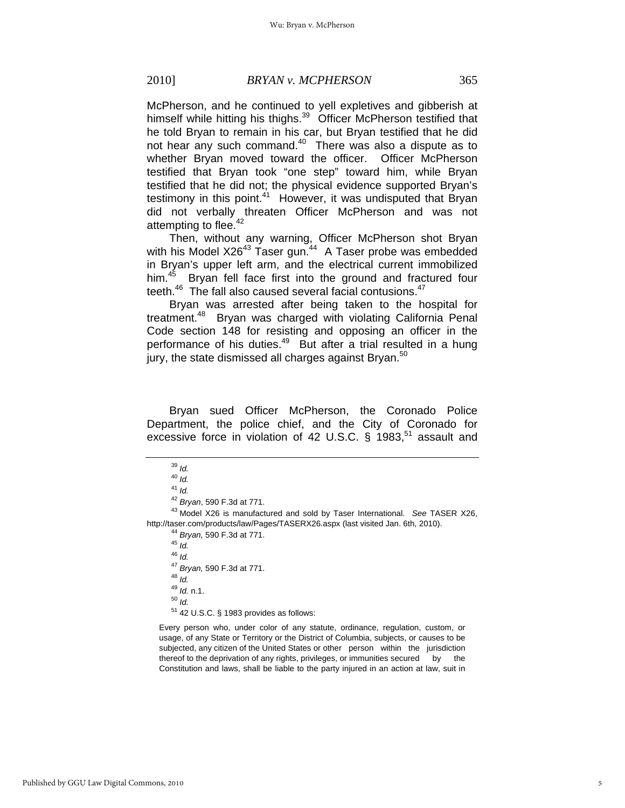McPherson, and he continued to yell expletives and gibberish at himself while hitting his thighs.<sup>39</sup> Officer McPherson testified that he told Bryan to remain in his car, but Bryan testified that he did not hear any such command.<sup>40</sup> There was also a dispute as to whether Bryan moved toward the officer. Officer McPherson testified that Bryan took "one step" toward him, while Bryan testified that he did not; the physical evidence supported Bryan's testimony in this point. $41$  However, it was undisputed that Bryan did not verbally threaten Officer McPherson and was not attempting to flee.<sup>42</sup>

Then, without any warning, Officer McPherson shot Bryan with his Model X26<sup>43</sup> Taser gun.<sup>44</sup> A Taser probe was embedded in Bryan's upper left arm, and the electrical current immobilized him.<sup>45</sup> Bryan fell face first into the ground and fractured four teeth.<sup>46</sup> The fall also caused several facial contusions.<sup>47</sup>

Bryan was arrested after being taken to the hospital for treatment.<sup>48</sup> Bryan was charged with violating California Penal Code section 148 for resisting and opposing an officer in the performance of his duties.<sup>49</sup> But after a trial resulted in a hung jury, the state dismissed all charges against Bryan.<sup>50</sup>

Bryan sued Officer McPherson, the Coronado Police Department, the police chief, and the City of Coronado for excessive force in violation of 42 U.S.C.  $\S$  1983,<sup>51</sup> assault and

Every person who, under color of any statute, ordinance, regulation, custom, or usage, of any State or Territory or the District of Columbia, subjects, or causes to be subjected, any citizen of the United States or other person within the jurisdiction thereof to the deprivation of any rights, privileges, or immunities secured by the Constitution and laws, shall be liable to the party injured in an action at law, suit in

<sup>39</sup> *Id.*

<sup>40</sup> *Id.*

<sup>41</sup> *Id.*

<sup>&</sup>lt;sup>42</sup> Bryan, 590 F.3d at 771.<br><sup>43</sup> Model X26 is manufactured and sold by Taser International. *See* TASER X26, http://taser.com/products/law/Pages/TASERX26.aspx (last visited Jan. 6th, 2010). 44 *Bryan,* 590 F.3d at 771. 45 *Id.*

<sup>46</sup> *Id.* <sup>47</sup> *Bryan,* 590 F.3d at 771. 48 *Id.* <sup>49</sup> *Id.* n.1. 50 *Id.* 51 42 U.S.C. § 1983 provides as follows: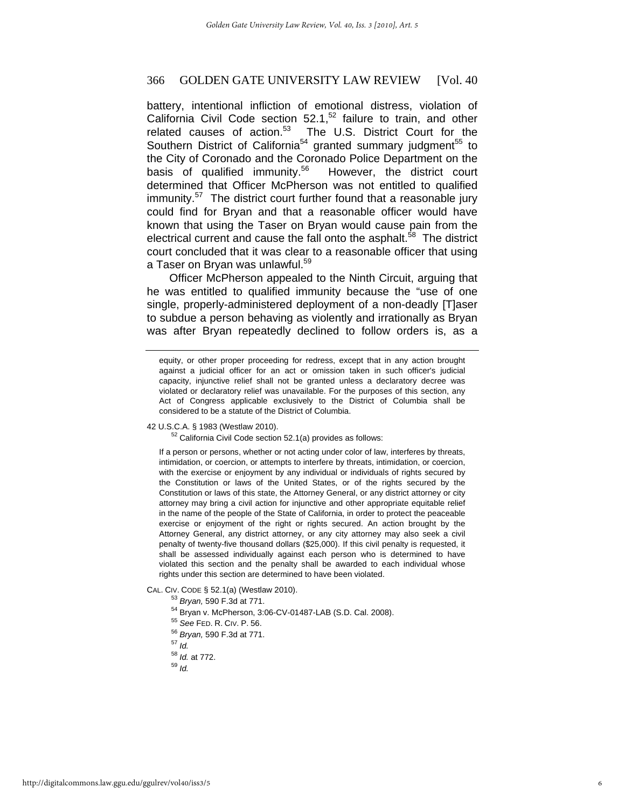battery, intentional infliction of emotional distress, violation of California Civil Code section  $52.1$ ,<sup>52</sup> failure to train, and other related causes of action.<sup>53</sup> The U.S. District Court for the Southern District of California<sup>54</sup> granted summary judgment<sup>55</sup> to the City of Coronado and the Coronado Police Department on the basis of qualified immunity.<sup>56</sup> However, the district court determined that Officer McPherson was not entitled to qualified immunity.<sup>57</sup> The district court further found that a reasonable jury could find for Bryan and that a reasonable officer would have known that using the Taser on Bryan would cause pain from the electrical current and cause the fall onto the asphalt.<sup>58</sup> The district court concluded that it was clear to a reasonable officer that using a Taser on Bryan was unlawful.<sup>59</sup>

Officer McPherson appealed to the Ninth Circuit, arguing that he was entitled to qualified immunity because the "use of one single, properly-administered deployment of a non-deadly [T]aser to subdue a person behaving as violently and irrationally as Bryan was after Bryan repeatedly declined to follow orders is, as a

42 U.S.C.A. § 1983 (Westlaw 2010).

 $52$  California Civil Code section 52.1(a) provides as follows:

If a person or persons, whether or not acting under color of law, interferes by threats, intimidation, or coercion, or attempts to interfere by threats, intimidation, or coercion, with the exercise or enjoyment by any individual or individuals of rights secured by the Constitution or laws of the United States, or of the rights secured by the Constitution or laws of this state, the Attorney General, or any district attorney or city attorney may bring a civil action for injunctive and other appropriate equitable relief in the name of the people of the State of California, in order to protect the peaceable exercise or enjoyment of the right or rights secured. An action brought by the Attorney General, any district attorney, or any city attorney may also seek a civil penalty of twenty-five thousand dollars (\$25,000). If this civil penalty is requested, it shall be assessed individually against each person who is determined to have violated this section and the penalty shall be awarded to each individual whose rights under this section are determined to have been violated.

- 
- CAL. CIV. CODE § 52.1(a) (Westlaw 2010).<br>
<sup>53</sup> Bryan, 590 F.3d at 771.<br>
<sup>54</sup> Bryan v. McPherson, 3:06-CV-01487-LAB (S.D. Cal. 2008).<br>
<sup>55</sup> See FED. R. CIV. P. 56.
	-
	- <sup>55</sup> *See* FED. R. CIV. P. 56. 56 *Bryan,* 590 F.3d at 771. 57 *Id.*
	-
	- <sup>58</sup> *Id.* at 772. 59 *Id.*
	-
	-

equity, or other proper proceeding for redress, except that in any action brought against a judicial officer for an act or omission taken in such officer's judicial capacity, injunctive relief shall not be granted unless a declaratory decree was violated or declaratory relief was unavailable. For the purposes of this section, any Act of Congress applicable exclusively to the District of Columbia shall be considered to be a statute of the District of Columbia.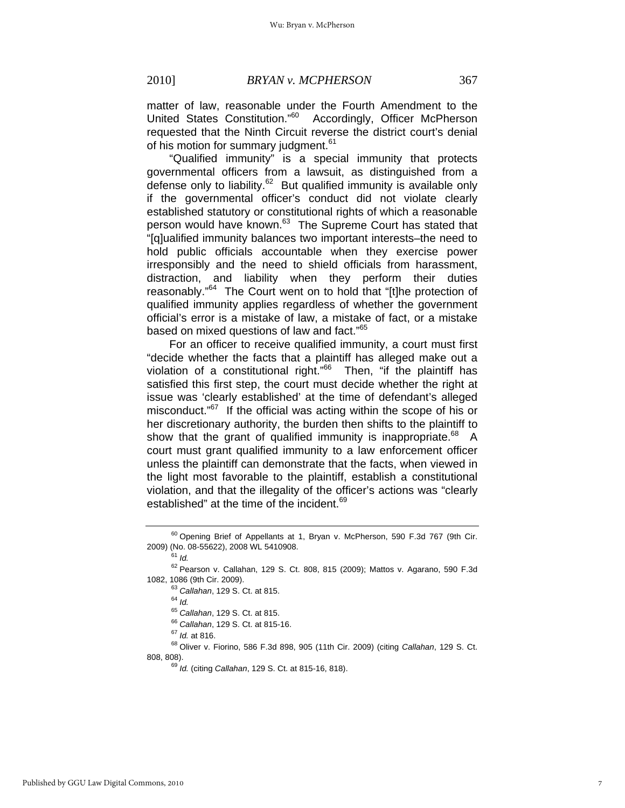matter of law, reasonable under the Fourth Amendment to the United States Constitution."<sup>60</sup> Accordingly, Officer McPherson requested that the Ninth Circuit reverse the district court's denial of his motion for summary judgment.<sup>61</sup>

"Qualified immunity" is a special immunity that protects governmental officers from a lawsuit, as distinguished from a defense only to liability. $62$  But qualified immunity is available only if the governmental officer's conduct did not violate clearly established statutory or constitutional rights of which a reasonable person would have known.<sup>63</sup> The Supreme Court has stated that "[q]ualified immunity balances two important interests–the need to hold public officials accountable when they exercise power irresponsibly and the need to shield officials from harassment, distraction, and liability when they perform their duties reasonably."<sup>64</sup> The Court went on to hold that "[t]he protection of qualified immunity applies regardless of whether the government official's error is a mistake of law, a mistake of fact, or a mistake based on mixed questions of law and fact."<sup>65</sup>

For an officer to receive qualified immunity, a court must first "decide whether the facts that a plaintiff has alleged make out a violation of a constitutional right."<sup>66</sup> Then, "if the plaintiff has satisfied this first step, the court must decide whether the right at issue was 'clearly established' at the time of defendant's alleged misconduct."<sup>67</sup> If the official was acting within the scope of his or her discretionary authority, the burden then shifts to the plaintiff to show that the grant of qualified immunity is inappropriate. $68$  A court must grant qualified immunity to a law enforcement officer unless the plaintiff can demonstrate that the facts, when viewed in the light most favorable to the plaintiff, establish a constitutional violation, and that the illegality of the officer's actions was "clearly established" at the time of the incident.<sup>69</sup>

<sup>65</sup> *Callahan*, 129 S. Ct. at 815. 66 *Callahan*, 129 S. Ct. at 815-16. 67 *Id.* at 816. 68 Oliver v. Fiorino, 586 F.3d 898, 905 (11th Cir. 2009) (citing *Callahan*, 129 S. Ct. 808, 808). 69 *Id.* (citing *Callahan*, 129 S. Ct. at 815-16, 818).

 $60$  Opening Brief of Appellants at 1, Bryan v. McPherson, 590 F.3d 767 (9th Cir. 2009) (No. 08-55622), 2008 WL 5410908. 61 *Id.*

 $^{62}$  Pearson v. Callahan, 129 S. Ct. 808, 815 (2009); Mattos v. Agarano, 590 F.3d 1082, 1086 (9th Cir. 2009).

<sup>&</sup>lt;sup>63</sup> Callahan, 129 S. Ct. at 815.<br><sup>64</sup> Id.<br><sup>65</sup> Callahan, 129 S. Ct. at 815.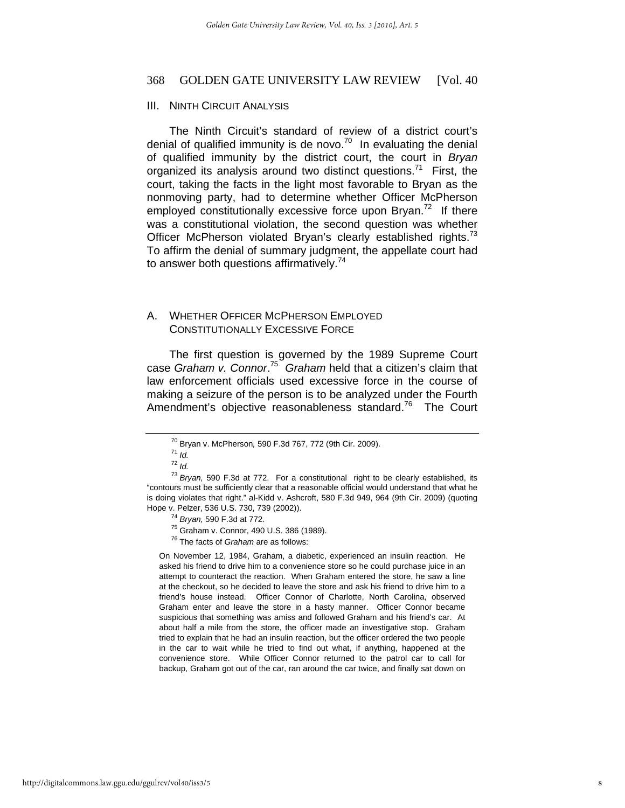#### III. NINTH CIRCUIT ANALYSIS

The Ninth Circuit's standard of review of a district court's denial of qualified immunity is de novo.<sup>70</sup> In evaluating the denial of qualified immunity by the district court, the court in *Bryan* organized its analysis around two distinct questions.<sup>71</sup> First, the court, taking the facts in the light most favorable to Bryan as the nonmoving party, had to determine whether Officer McPherson employed constitutionally excessive force upon Bryan.<sup>72</sup> If there was a constitutional violation, the second question was whether Officer McPherson violated Bryan's clearly established rights.<sup>73</sup> To affirm the denial of summary judgment, the appellate court had to answer both questions affirmatively.<sup>74</sup>

# A. WHETHER OFFICER MCPHERSON EMPLOYED CONSTITUTIONALLY EXCESSIVE FORCE

The first question is governed by the 1989 Supreme Court case *Graham v. Connor*. 75 *Graham* held that a citizen's claim that law enforcement officials used excessive force in the course of making a seizure of the person is to be analyzed under the Fourth Amendment's objective reasonableness standard.<sup>76</sup> The Court

On November 12, 1984, Graham, a diabetic, experienced an insulin reaction. He asked his friend to drive him to a convenience store so he could purchase juice in an attempt to counteract the reaction. When Graham entered the store, he saw a line at the checkout, so he decided to leave the store and ask his friend to drive him to a friend's house instead. Officer Connor of Charlotte, North Carolina, observed Graham enter and leave the store in a hasty manner. Officer Connor became suspicious that something was amiss and followed Graham and his friend's car. At about half a mile from the store, the officer made an investigative stop. Graham tried to explain that he had an insulin reaction, but the officer ordered the two people in the car to wait while he tried to find out what, if anything, happened at the convenience store. While Officer Connor returned to the patrol car to call for backup, Graham got out of the car, ran around the car twice, and finally sat down on

<sup>70</sup> Bryan v. McPherson*,* 590 F.3d 767, 772 (9th Cir. 2009). 71 *Id.*

<sup>72</sup> *Id.*

<sup>73</sup> *Bryan,* 590 F.3d at 772. For a constitutional right to be clearly established, its "contours must be sufficiently clear that a reasonable official would understand that what he is doing violates that right." al-Kidd v. Ashcroft, 580 F.3d 949, 964 (9th Cir. 2009) (quoting Hope v. Pelzer, 536 U.S. 730, 739 (2002)). 74 *Bryan,* 590 F.3d at 772. 75 Graham v. Connor, 490 U.S. 386 (1989).

<sup>76</sup> The facts of *Graham* are as follows: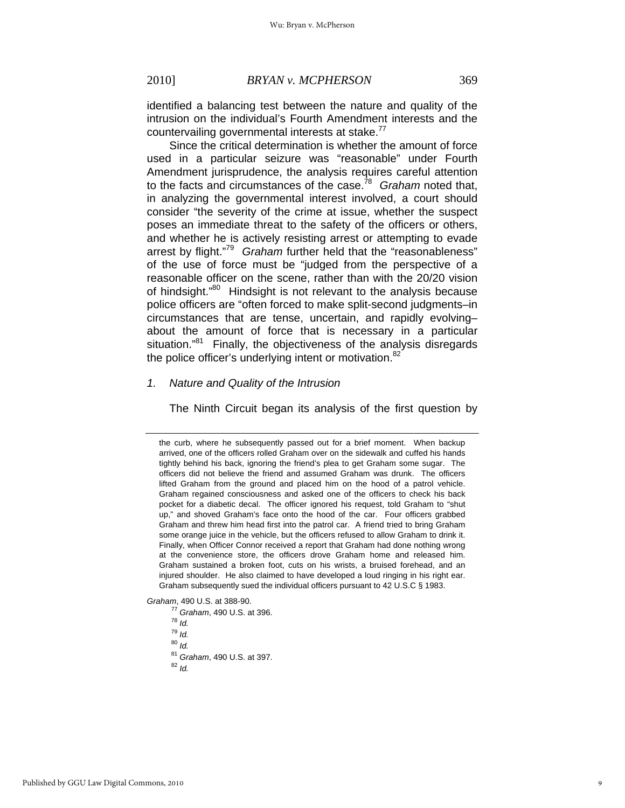identified a balancing test between the nature and quality of the intrusion on the individual's Fourth Amendment interests and the countervailing governmental interests at stake.<sup>77</sup>

Since the critical determination is whether the amount of force used in a particular seizure was "reasonable" under Fourth Amendment jurisprudence, the analysis requires careful attention to the facts and circumstances of the case.78 *Graham* noted that, in analyzing the governmental interest involved, a court should consider "the severity of the crime at issue, whether the suspect poses an immediate threat to the safety of the officers or others, and whether he is actively resisting arrest or attempting to evade arrest by flight."79 *Graham* further held that the "reasonableness" of the use of force must be "judged from the perspective of a reasonable officer on the scene, rather than with the 20/20 vision of hindsight."80 Hindsight is not relevant to the analysis because police officers are "often forced to make split-second judgments–in circumstances that are tense, uncertain, and rapidly evolving– about the amount of force that is necessary in a particular situation."<sup>81</sup> Finally, the objectiveness of the analysis disregards the police officer's underlying intent or motivation.<sup>82</sup>

#### *1. Nature and Quality of the Intrusion*

The Ninth Circuit began its analysis of the first question by

*Graham*, 490 U.S. at 388-90.

<sup>80</sup> *Id.*

the curb, where he subsequently passed out for a brief moment. When backup arrived, one of the officers rolled Graham over on the sidewalk and cuffed his hands tightly behind his back, ignoring the friend's plea to get Graham some sugar. The officers did not believe the friend and assumed Graham was drunk. The officers lifted Graham from the ground and placed him on the hood of a patrol vehicle. Graham regained consciousness and asked one of the officers to check his back pocket for a diabetic decal. The officer ignored his request, told Graham to "shut up," and shoved Graham's face onto the hood of the car. Four officers grabbed Graham and threw him head first into the patrol car. A friend tried to bring Graham some orange juice in the vehicle, but the officers refused to allow Graham to drink it. Finally, when Officer Connor received a report that Graham had done nothing wrong at the convenience store, the officers drove Graham home and released him. Graham sustained a broken foot, cuts on his wrists, a bruised forehead, and an injured shoulder. He also claimed to have developed a loud ringing in his right ear. Graham subsequently sued the individual officers pursuant to 42 U.S.C § 1983.

<sup>77</sup> *Graham*, 490 U.S. at 396. 78 *Id.*

<sup>79</sup> *Id.*

<sup>81</sup> *Graham*, 490 U.S. at 397. 82 *Id.*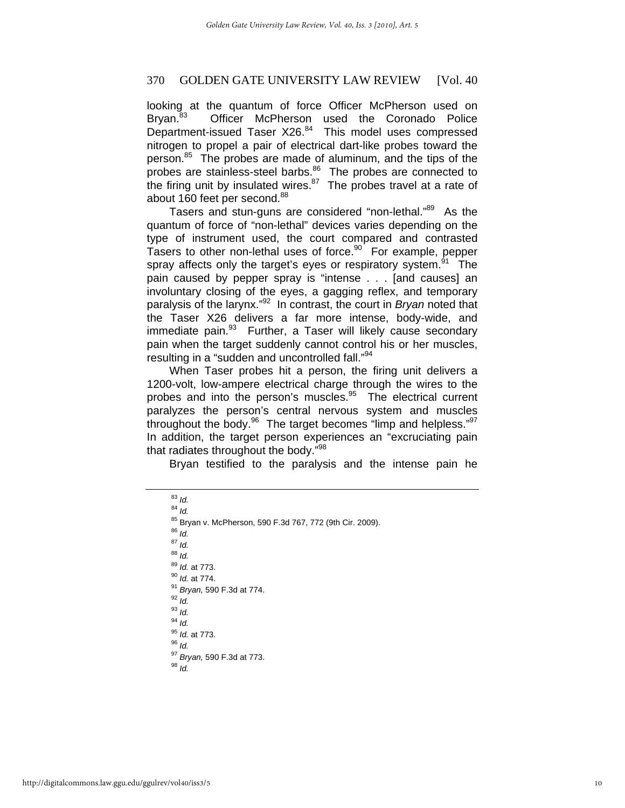looking at the quantum of force Officer McPherson used on Bryan.<sup>83</sup> Officer McPherson used the Coronado Police Department-issued Taser X26.<sup>84</sup> This model uses compressed nitrogen to propel a pair of electrical dart-like probes toward the person.<sup>85</sup> The probes are made of aluminum, and the tips of the probes are stainless-steel barbs.<sup>86</sup> The probes are connected to the firing unit by insulated wires. $87$  The probes travel at a rate of about 160 feet per second.<sup>88</sup>

Tasers and stun-guns are considered "non-lethal."<sup>89</sup> As the quantum of force of "non-lethal" devices varies depending on the type of instrument used, the court compared and contrasted Tasers to other non-lethal uses of force. $90$  For example, pepper spray affects only the target's eyes or respiratory system.<sup>91</sup> The pain caused by pepper spray is "intense . . . [and causes] an involuntary closing of the eyes, a gagging reflex, and temporary paralysis of the larynx."92 In contrast, the court in *Bryan* noted that the Taser X26 delivers a far more intense, body-wide, and immediate pain.<sup>93</sup> Further, a Taser will likely cause secondary pain when the target suddenly cannot control his or her muscles, resulting in a "sudden and uncontrolled fall."<sup>94</sup>

When Taser probes hit a person, the firing unit delivers a 1200-volt, low-ampere electrical charge through the wires to the probes and into the person's muscles.<sup>95</sup> The electrical current paralyzes the person's central nervous system and muscles throughout the body. $96$  The target becomes "limp and helpless." $97$ In addition, the target person experiences an "excruciating pain that radiates throughout the body."<sup>98</sup>

Bryan testified to the paralysis and the intense pain he

| $83$ Id.                                                  |
|-----------------------------------------------------------|
| $84$ Id.                                                  |
| 85 Bryan v. McPherson, 590 F.3d 767, 772 (9th Cir. 2009). |
| $86$ Id.                                                  |
| $87$ Id.                                                  |
| $88$ Id.                                                  |
| 89 Id. at 773.                                            |
| <sup>90</sup> ld. at 774.                                 |
| <sup>91</sup> Bryan, 590 F.3d at 774.                     |
| $92$ Id.                                                  |
| $93$ Id.                                                  |
| $94$ Id.                                                  |
| <sup>95</sup> <i>ld.</i> at 773.                          |
| $96$ Id.                                                  |
| <sup>97</sup> Bryan, 590 F.3d at 773.                     |
| $^{98}$ ld.                                               |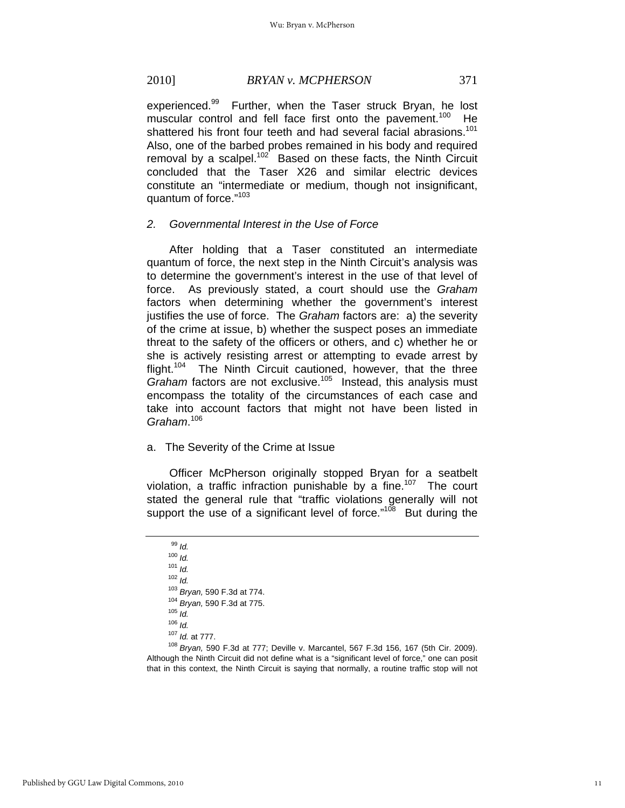# 2010] *BRYAN v. MCPHERSON* 371

experienced.<sup>99</sup> Further, when the Taser struck Bryan, he lost muscular control and fell face first onto the pavement.<sup>100</sup> He shattered his front four teeth and had several facial abrasions.<sup>101</sup> Also, one of the barbed probes remained in his body and required removal by a scalpel.<sup>102</sup> Based on these facts, the Ninth Circuit concluded that the Taser X26 and similar electric devices constitute an "intermediate or medium, though not insignificant, quantum of force."<sup>103</sup>

#### *2. Governmental Interest in the Use of Force*

After holding that a Taser constituted an intermediate quantum of force, the next step in the Ninth Circuit's analysis was to determine the government's interest in the use of that level of force. As previously stated, a court should use the *Graham* factors when determining whether the government's interest justifies the use of force. The *Graham* factors are: a) the severity of the crime at issue, b) whether the suspect poses an immediate threat to the safety of the officers or others, and c) whether he or she is actively resisting arrest or attempting to evade arrest by flight.<sup>104</sup> The Ninth Circuit cautioned, however, that the three *Graham* factors are not exclusive.<sup>105</sup> Instead, this analysis must encompass the totality of the circumstances of each case and take into account factors that might not have been listed in *Graham*. 106

#### a. The Severity of the Crime at Issue

Officer McPherson originally stopped Bryan for a seatbelt violation, a traffic infraction punishable by a fine.<sup>107</sup> The court stated the general rule that "traffic violations generally will not support the use of a significant level of force."<sup>108</sup> But during the

<sup>99</sup> *Id.* <sup>100</sup> *Id.* <sup>101</sup> *Id.* 102 *Id.*<br><sup>103</sup> *Bryan,* 590 F.3d at 774. <sup>103</sup> *Bryan,* 590 F.3d at 774. 104 *Bryan,* 590 F.3d at 775. 105 *Id.* <sup>106</sup> *Id.*<br><sup>107</sup> *Id.* at 777.

<sup>107</sup> *Id.* at 777. 108 *Bryan,* 590 F.3d at 777; Deville v. Marcantel, 567 F.3d 156, 167 (5th Cir. 2009). Although the Ninth Circuit did not define what is a "significant level of force," one can posit that in this context, the Ninth Circuit is saying that normally, a routine traffic stop will not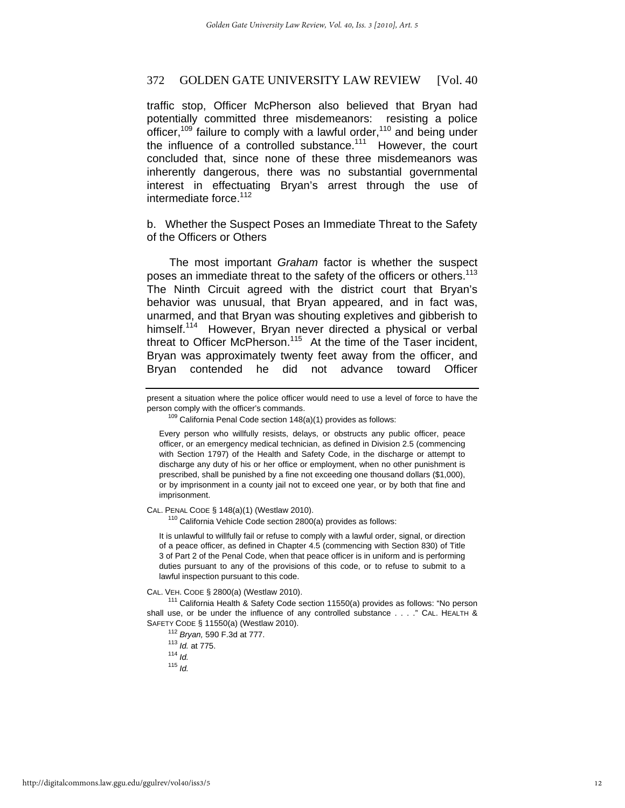traffic stop, Officer McPherson also believed that Bryan had potentially committed three misdemeanors: resisting a police officer,<sup>109</sup> failure to comply with a lawful order,<sup>110</sup> and being under the influence of a controlled substance.<sup>111</sup> However, the court concluded that, since none of these three misdemeanors was inherently dangerous, there was no substantial governmental interest in effectuating Bryan's arrest through the use of intermediate force.<sup>112</sup>

b. Whether the Suspect Poses an Immediate Threat to the Safety of the Officers or Others

The most important *Graham* factor is whether the suspect poses an immediate threat to the safety of the officers or others.<sup>113</sup> The Ninth Circuit agreed with the district court that Bryan's behavior was unusual, that Bryan appeared, and in fact was, unarmed, and that Bryan was shouting expletives and gibberish to himself.<sup>114</sup> However, Bryan never directed a physical or verbal threat to Officer McPherson.<sup>115</sup> At the time of the Taser incident, Bryan was approximately twenty feet away from the officer, and Bryan contended he did not advance toward Officer

CAL. PENAL CODE § 148(a)(1) (Westlaw 2010).<br><sup>110</sup> California Vehicle Code section 2800(a) provides as follows:

It is unlawful to willfully fail or refuse to comply with a lawful order, signal, or direction of a peace officer, as defined in Chapter 4.5 (commencing with Section 830) of Title 3 of Part 2 of the Penal Code, when that peace officer is in uniform and is performing duties pursuant to any of the provisions of this code, or to refuse to submit to a lawful inspection pursuant to this code.

CAL. VEH. CODE § 2800(a) (Westlaw 2010). 111 California Health & Safety Code section 11550(a) provides as follows: "No person shall use, or be under the influence of any controlled substance . . . ." CAL. HEALTH & SAFETY CODE § 11550(a) (Westlaw 2010). 112 *Bryan,* 590 F.3d at 777. 113 *Id.* at 775. 114 *Id.*

<sup>115</sup> *Id.*

present a situation where the police officer would need to use a level of force to have the person comply with the officer's commands.<br><sup>109</sup> California Penal Code section 148(a)(1) provides as follows:

Every person who willfully resists, delays, or obstructs any public officer, peace officer, or an emergency medical technician, as defined in Division 2.5 (commencing with Section 1797) of the Health and Safety Code, in the discharge or attempt to discharge any duty of his or her office or employment, when no other punishment is prescribed, shall be punished by a fine not exceeding one thousand dollars (\$1,000), or by imprisonment in a county jail not to exceed one year, or by both that fine and imprisonment.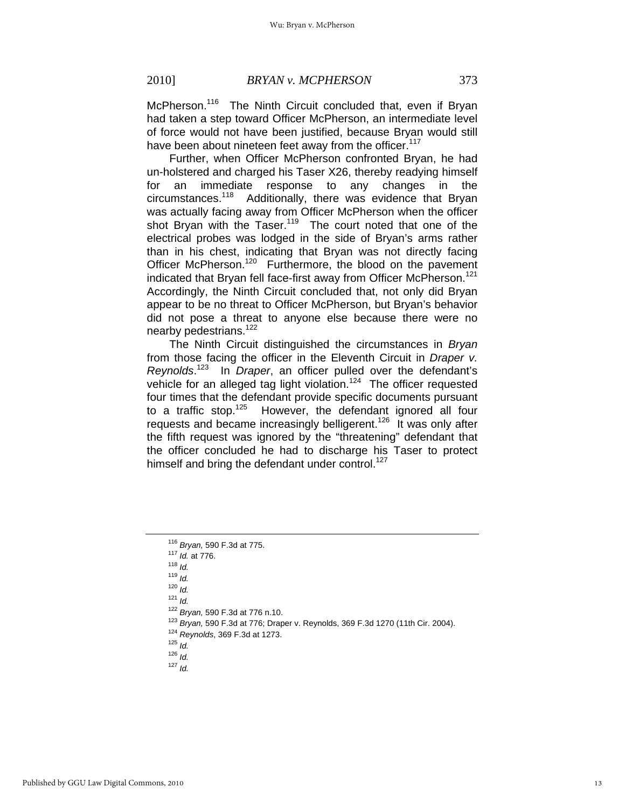McPherson.<sup>116</sup> The Ninth Circuit concluded that, even if Bryan had taken a step toward Officer McPherson, an intermediate level of force would not have been justified, because Bryan would still have been about nineteen feet away from the officer.<sup>117</sup>

Further, when Officer McPherson confronted Bryan, he had un-holstered and charged his Taser X26, thereby readying himself for an immediate response to any changes in the circumstances.118 Additionally, there was evidence that Bryan was actually facing away from Officer McPherson when the officer shot Bryan with the Taser.<sup>119</sup> The court noted that one of the electrical probes was lodged in the side of Bryan's arms rather than in his chest, indicating that Bryan was not directly facing Officer McPherson.<sup>120</sup> Furthermore, the blood on the pavement indicated that Bryan fell face-first away from Officer McPherson.<sup>121</sup> Accordingly, the Ninth Circuit concluded that, not only did Bryan appear to be no threat to Officer McPherson, but Bryan's behavior did not pose a threat to anyone else because there were no nearby pedestrians.<sup>122</sup>

The Ninth Circuit distinguished the circumstances in *Bryan* from those facing the officer in the Eleventh Circuit in *Draper v. Reynolds*. 123 In *Draper*, an officer pulled over the defendant's vehicle for an alleged tag light violation.<sup>124</sup> The officer requested four times that the defendant provide specific documents pursuant to a traffic stop. $125$  However, the defendant ignored all four requests and became increasingly belligerent.<sup>126</sup> It was only after the fifth request was ignored by the "threatening" defendant that the officer concluded he had to discharge his Taser to protect himself and bring the defendant under control.<sup>127</sup>

1<sup>23</sup> Bryan, 590 F.3d at 776; Draper v. Reynolds, 369 F.3d 1270 (11th Cir. 2004).<br><sup>124</sup> Reynolds, 369 F.3d at 1273.<br><sup>125</sup> Id.

<sup>116</sup> *Bryan,* 590 F.3d at 775. 117 *Id.* at 776. 118 *Id.*

<sup>119</sup> *Id.*

<sup>120</sup> *Id.*

<sup>121</sup> *Id.*<br><sup>122</sup> *Bryan*, 590 F.3d at 776 n.10.

<sup>126</sup> *Id.*

<sup>127</sup> *Id.*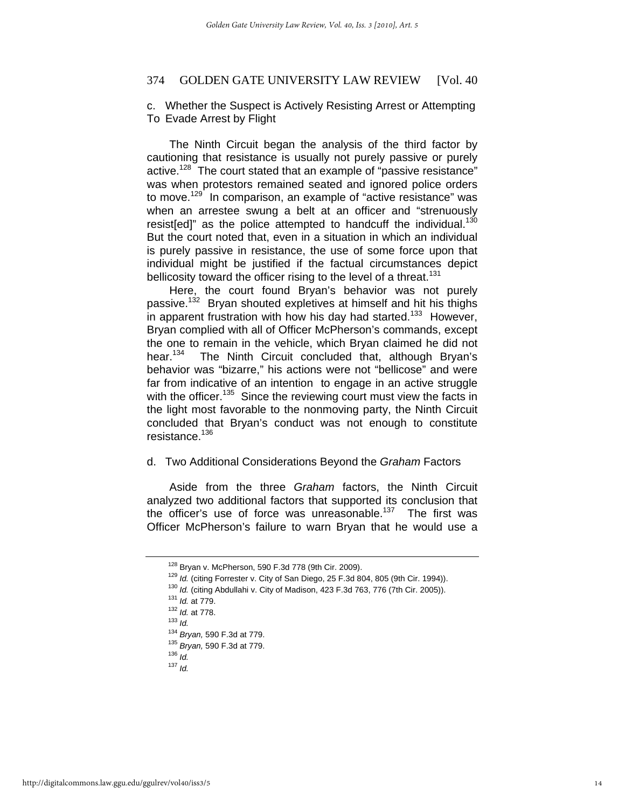#### c. Whether the Suspect is Actively Resisting Arrest or Attempting To Evade Arrest by Flight

The Ninth Circuit began the analysis of the third factor by cautioning that resistance is usually not purely passive or purely active.<sup>128</sup> The court stated that an example of "passive resistance" was when protestors remained seated and ignored police orders to move.<sup>129</sup> In comparison, an example of "active resistance" was when an arrestee swung a belt at an officer and "strenuously resist[ed]" as the police attempted to handcuff the individual.<sup>130</sup> But the court noted that, even in a situation in which an individual is purely passive in resistance, the use of some force upon that individual might be justified if the factual circumstances depict bellicosity toward the officer rising to the level of a threat.<sup>131</sup>

Here, the court found Bryan's behavior was not purely passive.132 Bryan shouted expletives at himself and hit his thighs in apparent frustration with how his day had started.<sup>133</sup> However, Bryan complied with all of Officer McPherson's commands, except the one to remain in the vehicle, which Bryan claimed he did not hear.<sup>134</sup> The Ninth Circuit concluded that, although Bryan's behavior was "bizarre," his actions were not "bellicose" and were far from indicative of an intention to engage in an active struggle with the officer.<sup>135</sup> Since the reviewing court must view the facts in the light most favorable to the nonmoving party, the Ninth Circuit concluded that Bryan's conduct was not enough to constitute resistance.136

#### d. Two Additional Considerations Beyond the *Graham* Factors

Aside from the three *Graham* factors, the Ninth Circuit analyzed two additional factors that supported its conclusion that the officer's use of force was unreasonable. $137$  The first was Officer McPherson's failure to warn Bryan that he would use a

<sup>&</sup>lt;sup>128</sup> Bryan v. McPherson, 590 F.3d 778 (9th Cir. 2009).<br><sup>129</sup> *Id.* (citing Forrester v. City of San Diego, 25 F.3d 804, 805 (9th Cir. 1994)).<br><sup>130</sup> *Id.* (citing Abdullahi v. City of Madison, 423 F.3d 763, 776 (7th Cir.

<sup>134</sup> *Bryan,* 590 F.3d at 779. 135 *Bryan,* 590 F.3d at 779. 136 *Id.*

<sup>137</sup> *Id.*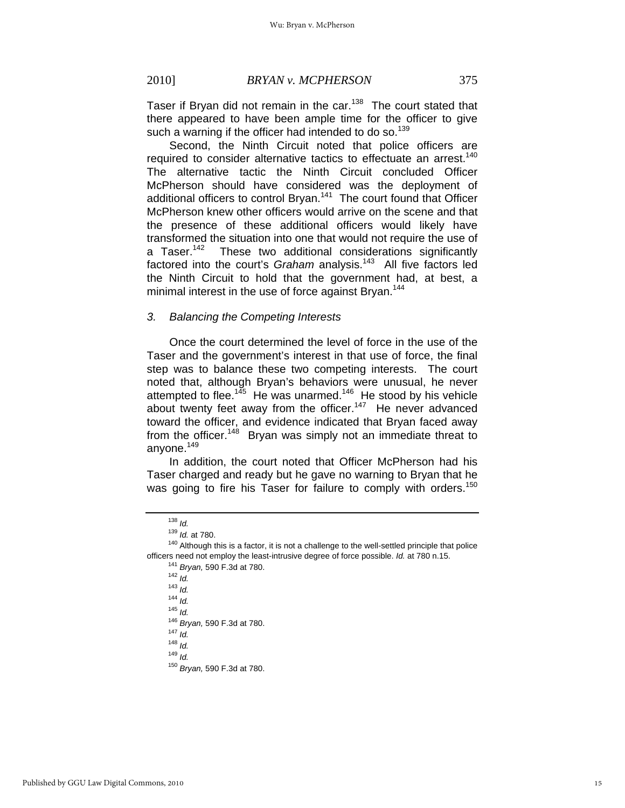Taser if Bryan did not remain in the car.<sup>138</sup> The court stated that there appeared to have been ample time for the officer to give such a warning if the officer had intended to do so.<sup>139</sup>

Second, the Ninth Circuit noted that police officers are required to consider alternative tactics to effectuate an arrest.<sup>140</sup> The alternative tactic the Ninth Circuit concluded Officer McPherson should have considered was the deployment of additional officers to control Bryan.<sup>141</sup> The court found that Officer McPherson knew other officers would arrive on the scene and that the presence of these additional officers would likely have transformed the situation into one that would not require the use of a Taser.<sup>142</sup> These two additional considerations significantly factored into the court's *Graham* analysis.<sup>143</sup> All five factors led the Ninth Circuit to hold that the government had, at best, a minimal interest in the use of force against Bryan.<sup>144</sup>

#### *3. Balancing the Competing Interests*

Once the court determined the level of force in the use of the Taser and the government's interest in that use of force, the final step was to balance these two competing interests. The court noted that, although Bryan's behaviors were unusual, he never attempted to flee.<sup>145</sup> He was unarmed.<sup>146</sup> He stood by his vehicle about twenty feet away from the officer.<sup>147</sup> He never advanced toward the officer, and evidence indicated that Bryan faced away from the officer.<sup>148</sup> Bryan was simply not an immediate threat to anyone.<sup>149</sup>

In addition, the court noted that Officer McPherson had his Taser charged and ready but he gave no warning to Bryan that he was going to fire his Taser for failure to comply with orders.<sup>150</sup>

<sup>144</sup> *Id.*

<sup>146</sup> *Bryan,* 590 F.3d at 780. 147 *Id.*

<sup>148</sup> *Id.*

<sup>149</sup> *Id.*

<sup>&</sup>lt;sup>138</sup> *ld.*<br><sup>139</sup> *ld.* at 780.

<sup>&</sup>lt;sup>140</sup> Although this is a factor, it is not a challenge to the well-settled principle that police officers need not employ the least-intrusive degree of force possible. *Id.* at 780 n.15. 141 *Bryan,* 590 F.3d at 780. 142 *Id.*

<sup>143</sup> *Id.*

<sup>145</sup> *Id.*

<sup>150</sup> *Bryan,* 590 F.3d at 780.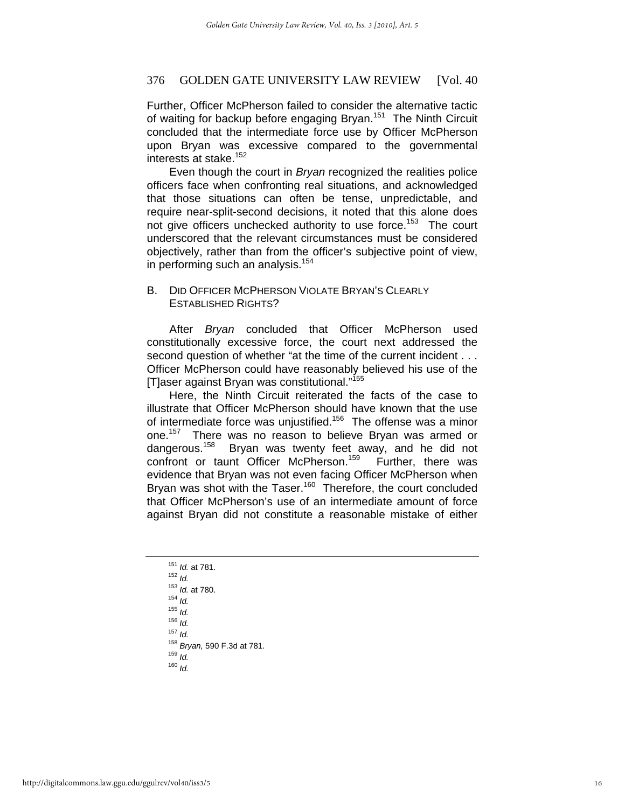Further, Officer McPherson failed to consider the alternative tactic of waiting for backup before engaging Bryan.<sup>151</sup> The Ninth Circuit concluded that the intermediate force use by Officer McPherson upon Bryan was excessive compared to the governmental interests at stake.<sup>152</sup>

Even though the court in *Bryan* recognized the realities police officers face when confronting real situations, and acknowledged that those situations can often be tense, unpredictable, and require near-split-second decisions, it noted that this alone does not give officers unchecked authority to use force.<sup>153</sup> The court underscored that the relevant circumstances must be considered objectively, rather than from the officer's subjective point of view, in performing such an analysis.<sup>154</sup>

# B. DID OFFICER MCPHERSON VIOLATE BRYAN'S CLEARLY ESTABLISHED RIGHTS?

After *Bryan* concluded that Officer McPherson used constitutionally excessive force, the court next addressed the second question of whether "at the time of the current incident . . . Officer McPherson could have reasonably believed his use of the [T]aser against Bryan was constitutional."<sup>155</sup>

Here, the Ninth Circuit reiterated the facts of the case to illustrate that Officer McPherson should have known that the use of intermediate force was unjustified.<sup>156</sup> The offense was a minor one.<sup>157</sup> There was no reason to believe Bryan was armed or dangerous.<sup>158</sup> Bryan was twenty feet away, and he did not confront or taunt Officer McPherson.<sup>159</sup> Further, there was evidence that Bryan was not even facing Officer McPherson when Bryan was shot with the Taser.<sup>160</sup> Therefore, the court concluded that Officer McPherson's use of an intermediate amount of force against Bryan did not constitute a reasonable mistake of either

|                      | <sup>151</sup> Id. at 781.             |
|----------------------|----------------------------------------|
| $152$ Id.            |                                        |
|                      | <sup>153</sup> Id. at 780.             |
| $154$ Id.            |                                        |
| $155$ $\overline{1}$ |                                        |
| $156$ <i>Id.</i>     |                                        |
| $157$ <i>Id.</i>     |                                        |
|                      | <sup>158</sup> Bryan, 590 F.3d at 781. |
| $159$ Id.            |                                        |
| $160$ <i>Id.</i>     |                                        |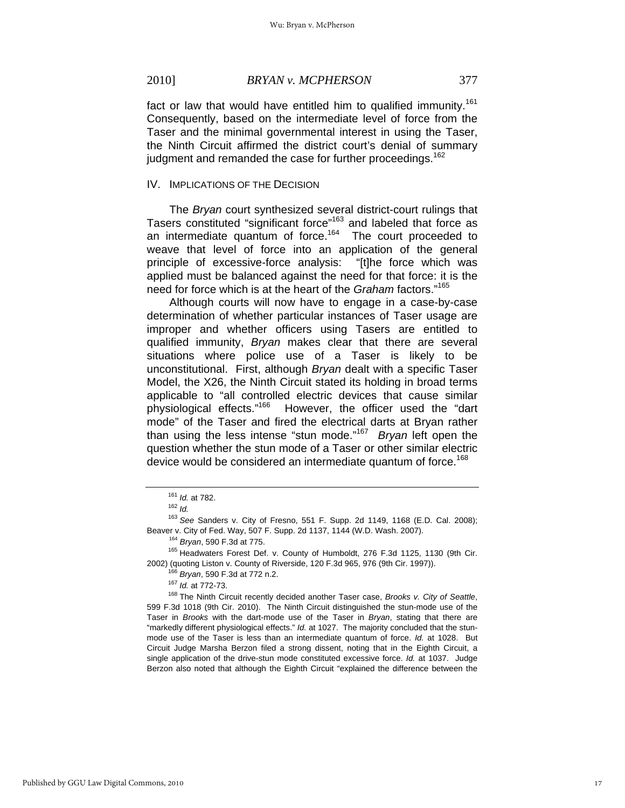# 2010] *BRYAN v. MCPHERSON* 377

fact or law that would have entitled him to qualified immunity.<sup>161</sup> Consequently, based on the intermediate level of force from the Taser and the minimal governmental interest in using the Taser, the Ninth Circuit affirmed the district court's denial of summary judgment and remanded the case for further proceedings.<sup>162</sup>

#### IV. IMPLICATIONS OF THE DECISION

The *Bryan* court synthesized several district-court rulings that Tasers constituted "significant force"<sup>163</sup> and labeled that force as an intermediate quantum of force.164 The court proceeded to weave that level of force into an application of the general principle of excessive-force analysis: "[t]he force which was applied must be balanced against the need for that force: it is the need for force which is at the heart of the *Graham* factors."165

Although courts will now have to engage in a case-by-case determination of whether particular instances of Taser usage are improper and whether officers using Tasers are entitled to qualified immunity, *Bryan* makes clear that there are several situations where police use of a Taser is likely to be unconstitutional. First, although *Bryan* dealt with a specific Taser Model, the X26, the Ninth Circuit stated its holding in broad terms applicable to "all controlled electric devices that cause similar physiological effects."166 However, the officer used the "dart mode" of the Taser and fired the electrical darts at Bryan rather than using the less intense "stun mode."167 *Bryan* left open the question whether the stun mode of a Taser or other similar electric device would be considered an intermediate quantum of force.<sup>168</sup>

Beaver v. City of Fed. Way, 507 F. Supp. 2d 1137, 1144 (W.D. Wash. 2007).<br><sup>164</sup> *Bryan*, 590 F.3d at 775.<br><sup>165</sup> Headwaters Forest Def. v. County of Humboldt, 276 F.3d 1125, 1130 (9th Cir.

2002) (quoting Liston v. County of Riverside, 120 F.3d 965, 976 (9th Cir. 1997)).<br><sup>166</sup> Bryan, 590 F.3d at 772 n.2.<br><sup>167</sup> Id. at 772-73.<br><sup>168</sup> The Ninth Circuit recently decided another Taser case, Brooks v. City of Seatt 599 F.3d 1018 (9th Cir. 2010). The Ninth Circuit distinguished the stun-mode use of the Taser in *Brooks* with the dart-mode use of the Taser in *Bryan*, stating that there are "markedly different physiological effects." *Id.* at 1027. The majority concluded that the stunmode use of the Taser is less than an intermediate quantum of force. *Id.* at 1028. But Circuit Judge Marsha Berzon filed a strong dissent, noting that in the Eighth Circuit, a single application of the drive-stun mode constituted excessive force. *Id.* at 1037. Judge Berzon also noted that although the Eighth Circuit "explained the difference between the

<sup>161</sup> *Id.* at 782. 162 *Id.*

<sup>163</sup> *See* Sanders v. City of Fresno, 551 F. Supp. 2d 1149, 1168 (E.D. Cal. 2008);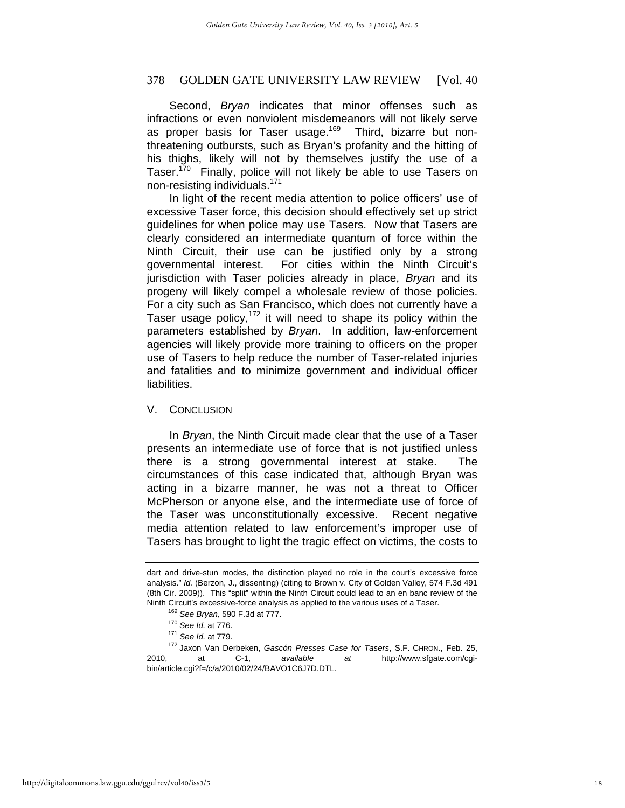Second, *Bryan* indicates that minor offenses such as infractions or even nonviolent misdemeanors will not likely serve as proper basis for Taser usage.<sup>169</sup> Third, bizarre but nonthreatening outbursts, such as Bryan's profanity and the hitting of his thighs, likely will not by themselves justify the use of a Taser.<sup>170</sup> Finally, police will not likely be able to use Tasers on non-resisting individuals.171

In light of the recent media attention to police officers' use of excessive Taser force, this decision should effectively set up strict guidelines for when police may use Tasers. Now that Tasers are clearly considered an intermediate quantum of force within the Ninth Circuit, their use can be justified only by a strong governmental interest. For cities within the Ninth Circuit's jurisdiction with Taser policies already in place, *Bryan* and its progeny will likely compel a wholesale review of those policies. For a city such as San Francisco, which does not currently have a Taser usage policy,172 it will need to shape its policy within the parameters established by *Bryan*. In addition, law-enforcement agencies will likely provide more training to officers on the proper use of Tasers to help reduce the number of Taser-related injuries and fatalities and to minimize government and individual officer liabilities.

# V. CONCLUSION

In *Bryan*, the Ninth Circuit made clear that the use of a Taser presents an intermediate use of force that is not justified unless there is a strong governmental interest at stake. The circumstances of this case indicated that, although Bryan was acting in a bizarre manner, he was not a threat to Officer McPherson or anyone else, and the intermediate use of force of the Taser was unconstitutionally excessive. Recent negative media attention related to law enforcement's improper use of Tasers has brought to light the tragic effect on victims, the costs to

dart and drive-stun modes, the distinction played no role in the court's excessive force analysis." *Id.* (Berzon, J., dissenting) (citing to Brown v. City of Golden Valley, 574 F.3d 491 (8th Cir. 2009)). This "split" within the Ninth Circuit could lead to an en banc review of the

Ninth Circuit's excessive-force analysis as applied to the various uses of a Taser.<br><sup>169</sup> See Bryan, 590 F.3d at 777.<br><sup>170</sup> See Id. at 776.<br><sup>171</sup> See Id. at 779.<br><sup>172</sup> Jaxon Van Derbeken, *Gascón Presses Case for Tasers*, 2010, at C-1, *available at* http://www.sfgate.com/cgibin/article.cgi?f=/c/a/2010/02/24/BAVO1C6J7D.DTL.